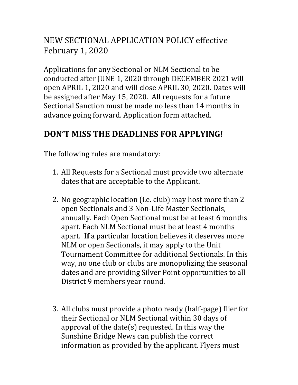## NEW SECTIONAL APPLICATION POLICY effective February 1, 2020

Applications for any Sectional or NLM Sectional to be conducted after JUNE 1, 2020 through DECEMBER 2021 will open APRIL 1, 2020 and will close APRIL 30, 2020. Dates will be assigned after May 15, 2020. All requests for a future Sectional Sanction must be made no less than 14 months in advance going forward. Application form attached.

## **DON'T MISS THE DEADLINES FOR APPLYING!**

The following rules are mandatory:

- 1. All Requests for a Sectional must provide two alternate dates that are acceptable to the Applicant.
- 2. No geographic location (i.e. club) may host more than 2 open Sectionals and 3 Non-Life Master Sectionals, annually. Each Open Sectional must be at least 6 months apart. Each NLM Sectional must be at least 4 months apart. **If** a particular location believes it deserves more NLM or open Sectionals, it may apply to the Unit Tournament Committee for additional Sectionals. In this way, no one club or clubs are monopolizing the seasonal dates and are providing Silver Point opportunities to all District 9 members year round.
- 3. All clubs must provide a photo ready (half-page) flier for their Sectional or NLM Sectional within 30 days of approval of the date(s) requested. In this way the Sunshine Bridge News can publish the correct information as provided by the applicant. Flyers must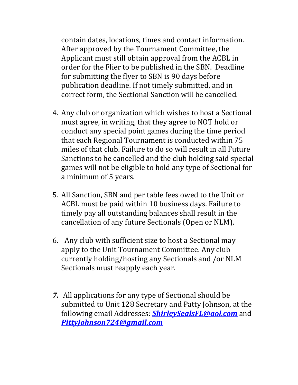contain dates, locations, times and contact information. After approved by the Tournament Committee, the Applicant must still obtain approval from the ACBL in order for the Flier to be published in the SBN. Deadline for submitting the flyer to SBN is 90 days before publication deadline. If not timely submitted, and in correct form, the Sectional Sanction will be cancelled.

- 4. Any club or organization which wishes to host a Sectional must agree, in writing, that they agree to NOT hold or conduct any special point games during the time period that each Regional Tournament is conducted within 75 miles of that club. Failure to do so will result in all Future Sanctions to be cancelled and the club holding said special games will not be eligible to hold any type of Sectional for a minimum of 5 years.
- 5. All Sanction, SBN and per table fees owed to the Unit or ACBL must be paid within 10 business days. Failure to timely pay all outstanding balances shall result in the cancellation of any future Sectionals (Open or NLM).
- 6. Any club with sufficient size to host a Sectional may apply to the Unit Tournament Committee. Any club currently holding/hosting any Sectionals and /or NLM Sectionals must reapply each year.
- *7.* All applications for any type of Sectional should be submitted to Unit 128 Secretary and Patty Johnson, at the following email Addresses: *[ShirleySealsFL@aol.com](mailto:ShirleySealsFL@aol.com)* and *[PittyJohnson724@gmail.com](mailto:PittyJohnson724@gmail.com)*